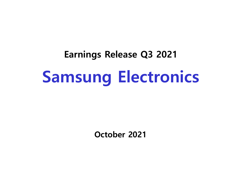# **Earnings Release Q3 2021 Samsung Electronics**

**October 2021**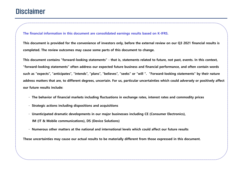## **Disclaimer**

**The financial information in this document are consolidated earnings results based on K-IFRS.** 

**This document is provided for the convenience of investors only, before the external review on our Q3 2021 financial results is completed. The review outcomes may cause some parts of this document to change.**

**This document contains "forward-looking statements" - that is, statements related to future, not past, events. In this context, "forward-looking statements" often address our expected future business and financial performance, and often contain words such as "expects", "anticipates", "intends", "plans", "believes", "seeks" or "will ". "Forward-looking statements" by their nature address matters that are, to different degrees, uncertain. For us, particular uncertainties which could adversely or positively affect our future results include:** 

- **· The behavior of financial markets including fluctuations in exchange rates, interest rates and commodity prices**
- **· Strategic actions including dispositions and acquisitions**
- **· Unanticipated dramatic developments in our major businesses including CE (Consumer Electronics), IM (IT & Mobile communications), DS (Device Solutions)**
- **· Numerous other matters at the national and international levels which could affect our future results**

**These uncertainties may cause our actual results to be materially different from those expressed in this document.**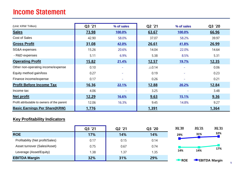## Income Statement

| (Unit: KRW Trillion)                        | Q3 '21       | % of sales               | Q2 '21           | % of sales               | Q3 '20       |
|---------------------------------------------|--------------|--------------------------|------------------|--------------------------|--------------|
| <b>Sales</b>                                | 73.98        | 100.0%                   | 63.67            | 100.0%                   | 66.96        |
| Cost of Sales                               | 42.90        | 58.0%                    | 37.07            | 58.2%                    | 39.97        |
| <b>Gross Profit</b>                         | 31.08        | 42.0%                    | 26.61            | 41.8%                    | 26.99        |
| SG&A expenses                               | 15.26        | 20.6%                    | 14.04            | 22.0%                    | 14.64        |
| - R&D expenses                              | 5.11         | 6.9%                     | 5.38             | 8.5%                     | 5.31         |
| <b>Operating Profit</b>                     | <u>15.82</u> | 21.4%                    | <u>12.57</u>     | <u>19.7%</u>             | <u>12.35</u> |
| Other non-operating income/expense          | 0.10         |                          | $\triangle$ 0.14 | ÷                        | 0.06         |
| Equity method gain/loss                     | 0.27         |                          | 0.19             |                          | 0.23         |
| Finance income/expense                      | 0.17         |                          | 0.26             |                          | 0.21         |
| <b>Profit Before Income Tax</b>             | <u>16.36</u> | 22.1%                    | 12.88            | 20.2%                    | <u>12.84</u> |
| Income tax                                  | 4.06         | $\overline{\phantom{a}}$ | 3.25             | $\overline{\phantom{a}}$ | 3.48         |
| <b>Net profit</b>                           | <u>12.29</u> | <u>16.6%</u>             | 9.63             | <u>15.1%</u>             | 9.36         |
| Profit attributable to owners of the parent | 12.06        | 16.3%                    | 9.45             | 14.8%                    | 9.27         |
| <b>Basic Earnings Per Share(KRW)</b>        | 1,776        |                          | 1,391            |                          | 1,364        |

#### **Key Profitability Indicators**

|                                  | Q3 '21 | Q2 '21 | Q3 '20 | 3Q '20             | 2Q '21 | 3Q '21                 |
|----------------------------------|--------|--------|--------|--------------------|--------|------------------------|
| <b>ROE</b>                       | 17%    | 14%    | 14%    | 29%                | 31%    | 32%                    |
| Profitability (Net profit/Sales) | 0.17   | 0.15   | 0.14   |                    |        |                        |
| Asset turnover (Sales/Asset)     | 0.75   | 0.67   | 0.74   |                    |        | 17%                    |
| Leverage (Asset/Equity)          | 1.38   | 1.37   | 1.35   | 14%                | 14%    |                        |
| <b>EBITDA Margin</b>             | 32%    | 31%    | 29%    | $\blacksquare$ ROE |        | <b>-</b> EBITDA Margin |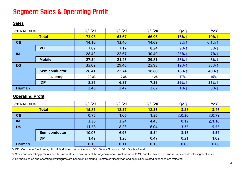## Segment Sales & Operating Profit

#### **Sales**

| (Unit: KRW Trillion)    |                      | Q3 '21 | Q2 '21 | Q3 '20       | QoQ              | YoY              |
|-------------------------|----------------------|--------|--------|--------------|------------------|------------------|
|                         | <b>Total</b>         | 73.98  | 63.67  | 66.96        | 16% ↑            | 10% 1            |
| <b>CE</b>               |                      | 14.10  | 13.40  | 14.09        | 5% 1             | $0.1\%$ 1        |
|                         | <b>VD</b>            | 7.82   | 7.17   | 8.24         | $9%$ ↑           | $5\% \downarrow$ |
| <b>IM</b>               |                      | 28.42  | 22.67  | 30.49        | 25% ↑            | $7\% \downarrow$ |
|                         | <b>Mobile</b>        | 27.34  | 21.43  | 29.81        | 28% ↑            | $8\% +$          |
| <b>DS</b>               |                      | 35.09  | 29.46  | 25.93        | 19% 1            | 35% ↑            |
|                         | <b>Semiconductor</b> | 26.41  | 22.74  | 18.80        | 16% ↑            | 40% 1            |
|                         | - Memory             | 20.83  | 17.88  | 14.28        | 17% 1            | 46%↑             |
|                         | <b>DP</b>            | 8.86   | 6.87   | 7.32         | 29% 1            | $21%$ ↑          |
| <b>Harman</b>           |                      | 2.40   | 2.42   | 2.62         | $1\%$ ↓          | $8\% +$          |
| <b>Operating Profit</b> |                      |        |        |              |                  |                  |
| (Unit: KRW Trillion)    |                      | Q3 '21 | Q2 '21 | Q3 '20       | QoQ              | YoY              |
|                         | <b>Total</b>         | 15.82  | 12.57  | <b>12.35</b> | 3.25             | 3.46             |
| <b>CE</b>               |                      | 0.76   | 1.06   | 1.56         | $\triangle$ 0.30 | $\triangle$ 0.79 |
| <b>IM</b>               |                      | 3.36   | 3.24   | 4.45         | 0.12             | $\triangle$ 1.10 |
| <b>DS</b>               |                      | 11.58  | 8.23   | 6.04         | 3.35             | 5.55             |
|                         | <b>Semiconductor</b> | 10.06  | 6.93   | 5.54         | 3.13             | 4.52             |
|                         | <b>DP</b>            | 1.49   | 1.28   | 0.47         | 0.21             | 1.02             |
| <b>Harman</b>           |                      | 0.15   | 0.11   | 0.15         | 0.05             | 0.00             |

※ CE : Consumer Electronics, IM : IT & Mobile communications, DS : Device Solutions, DP : Display Panel

※ Sales and operating profit of each business stated above reflect the organizational structure as of 2021, and the sales of business units include intersegment sales.

※ Harman's sales and operating profit figures are based on Samsung Electronics' fiscal year, and acquisition related expenses are reflected.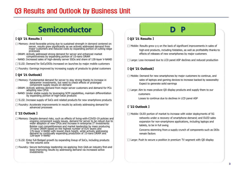## Q3 Results and Outlook by Business Unit

# **Semiconductor**

#### **【 Q3 '21 Results 】**

- $\square$  Memory: Amid favorable pricing due to sustained strength in demand centered on server, results grew significantly as we actively addressed demand from major customers and reduced costs by expanding portion of cutting-edge processes
- DRAM: Actively addressed strong demand for server and enhanced market competitiveness by expanding portion of 15-nano DRAM
- NAND: Increased sales of high-density server SSDs and share of 128-layer V-NAND
- $\Box$  S.LSI: Demand for SoCs/DDIs increased on launches by major mobile customers
- $\Box$  Foundry: Earnings improved by increasing supply of products to global customers

#### **【 Q4 '21 Outlook】**

- $\square$  Memory: Fundamental demand for server to stay strong thanks to increase in datacenter investments, but need to check effects of prolonged component supply issues on demand
- DRAM: Actively address demand from major server customers and demand for PCs adopting new CPUs
- NAND: Under stable supply by leveraging SCM capabilities, maintain differentiation by expanding portion of high-value products
- $\Box$  S.LSI: Increase supply of SoCs and related products for new smartphone products
- $\square$  Foundry: Accelerate improvements in results by actively addressing demand for advanced processes

#### **【 '22 Outlook 】**

- $\square$  Memory: Despite demand risks, such as effects of living-with-COVID-19 policies and ongoing component supply issues, demand for server to be robust due to wider adoption of new CPUs and increase in enterprise IT investments Bolster cost competitiveness and market leadership by mass producing 14-nano DRAM based on the highest number of EUV layers and 176-layer V-NAND with lowest stack height, while actively addressing demand by continually expanding production of 15-nano DRAM and 128-layer V-NAND
- $\Box$  S.LSI: Enter full-fledged growth by expanding lineup of SoCs, including products for the volume zone
- $\square$  Foundry: Secure technology leadership via applying 3nm GAA-an industry first-and keep improving results by addressing demand via increased active investments

#### **【 Q3 '21 Results 】**

- $\Box$  Mobile: Results grew Q-Q on the back of significant improvements in sales of high-end products, including foldables, as well as profitability thanks to effects of releases of new smartphones by major customers
- $\Box$  Large: Loss increased due to LCD panel ASP declines and reduced production

#### **【 Q4 '21 Outlook】**

- $\Box$  Mobile: Demand for new smartphones by major customers to continue, and sales of laptops and gaming devices to increase backed by seasonality Expect to generate solid earnings
- $\Box$  Large: Aim to mass produce QD display products and supply them to our customers

Losses to continue due to declines in LCD panel ASP

#### **【 '22 Outlook 】**

 $\Box$  Mobile: OLED portion of market to increase with wider deployments of 5G networks under a recovery of smartphone demand; and OLED sales expansion for non-smartphone applications, including laptops and tablets, to be in full swing

> Concerns stemming from a supply crunch of components such as DDIs remain factors

 $\Box$  Large: Push to secure a position in premium TV segment with QD display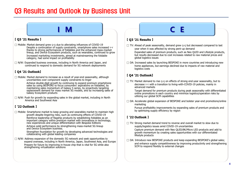## Q3 Results and Outlook by Business Unit



#### **【 Q3 '21 Results 】**

 $\Box$  Mobile: Market demand grew  $Q-Q$  due to alleviating influences of COVID-19 Despite a continuation of supply constraints, smartphone sales increased Y-Y thanks to strong performances of foldables and the enhanced mass-market lineup, and Device Ecosystem products, such as wearables, continued to grow Increased marketing investments, aimed at mainstreaming the foldable category, had some impact on profitability

 $\Box$  N/W: Expanded business overseas, including in North America and Japan, and continued to respond to domestic demand for 5G network deployments

#### **【 Q4 '21 Outlook】**

 $\Box$  Mobile: Market demand to increase as a result of year-end seasonality, although uncertainties over component supply constraints to linger Achieve double-digit growth by continuing to expand premium smartphone sales by using BESPOKE to focus consumers' aspirations on foldables, by maintaining sales momentum of Galaxy S series, by proactively targeting replacement demand for mass market 5G models, and by increasing sales of Galaxy Ecosystem products

 $\Box$  N/W: Push for growth by expanding sales in the global market, including in North America and Southwest Asia

#### **【 '22 Outlook 】**

 $\Box$  Mobile: Smartphone market to keep growing and wearables market to maintain high growth despite lingering risks, such as continuing effects of COVID-19 Reinforce leadership of flagship products by establishing foldables as an important category within premium market with innovations in technology, new experiences and unique differentiation with Bespoke Editions

Achieve solid performance by strengthening mass-market 5G lineup and Device Ecosystem business.

Strengthen foundation for growth by developing advanced technologies and collaborating with global leading companies

 $\Box$  N/W: Address expansion of the domestic 5G network and seek opportunities to expand overseas, including in North America, Japan, Southwest Asia, and Europe Prepare for future by improving in-house chip that is vital for 5G while also strengthening virtualization solutions

**【 Q3 '21 Results 】**  $\square$  TV: Ahead of peak seasonality, demand grew  $Q$ -Q but decreased compared to last year when it was affected by strong pent-up demand

Expanded sales of premium products, such as Neo QLED and Lifestyle products, but results decreased due to cost increases related to raw material prices and global logistics issues

 $\Box$  DA: Increased sales by launching BESPOKE in more countries and introducing new home appliances, but earnings declined due to impacts of raw material and logistics costs

#### **【 Q4 '21 Outlook】**

 $\Box$  TV: Market demand to rise  $\circ$ - $\circ$  on effects of strong end-year seasonality, but to decrease Y-Y with a transition to living-with-COVID-19 policies, mainly in advanced markets

Target demand for premium products during peak seasonality with differentiated online promotions in each country and minimize logistics/operation risks by utilizing our global SCM capabilities

 $\square$  DA: Accelerate global expansion of BESPOKE and bolster year-end promotions/online marketing

Pursue profitability improvements by expanding sales of premium products and by optimizing supply efficiency by region

#### **【 '22 Outlook 】**

- $\Box$  TV: Strong market demand trend to reverse and overall market to slow due to supply/logistics issues amid COVID-19 uncertainties Capture premium demand with Neo QLED/8K/Micro LED products and add to growth momentum by creating sales opportunities with our differentiated lifestyle products
- $\square$  DA: Introduce new BESPOKE products and keep expanding BESPOKE's global sales; and enhance supply competitiveness by improving productivity and strengthening SCM to respond flexibly to external changes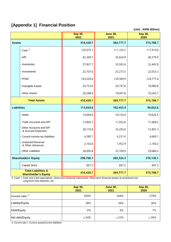## **[Appendix 1] Financial Position**

**(Unit : KRW Billion)**

|                                                               | <b>Sep 30,</b><br>2021 | <b>June 30,</b><br>2021 | Sep 30,<br>2020 |
|---------------------------------------------------------------|------------------------|-------------------------|-----------------|
| <b>Assets</b>                                                 | 410,420.7              | 384,777.7               | 375,788.7       |
| - Cash <sup>*</sup>                                           | 120,470.1              | 111,102.2               | 117,910.8       |
| $- A/R$                                                       | 42,369.7               | 35,624.9                | 40,379.9        |
| - Inventories                                                 | 37,801.7               | 33,592.4                | 32,442.8        |
| - Investments                                                 | 25,707.6               | 25,273.5                | 22,053.3        |
| $-$ PP&E                                                      | 143,029.4              | 139,389.9               | 124,777.4       |
| - Intangible Assets                                           | 20,753.6               | 20,747.0                | 18,980.8        |
| - Other Assets                                                | 20,288.6               | 19,047.8                | 19,243.7        |
| <b>Total Assets</b>                                           | 410,420.7              | 384,777.7               | 375,788.7       |
| <b>Liabilities</b>                                            | 113,654.6              | 102,453.4               | 99,652.6        |
| - Debts                                                       | 19,069.6               | 16,734.9                | 19,626.5        |
| - Trade Accounts and N/P                                      | 13,865.7               | 11,052.6                | 11,688.2        |
| Other Accounts and N/P<br>& Accrued Expenses                  | 38,174.8               | 35,293.0                | 31,891.3        |
| - Current income tax liabilities                              | 4,380.1                | 4,231.0                 | 4,660.1         |
| - Unearned Revenue<br>& Other Advances                        | 2,163.6                | 1,952.9                 | 2,100.2         |
| - Other Liabilities                                           | 36,000.8               | 33,189.0                | 29,686.3        |
| <b>Shareholders' Equity</b>                                   | 296,766.1              | 282,324.3               | 276,136.1       |
| - Capital Stock                                               | 897.5                  | 897.5                   | 897.5           |
| <b>Total Liabilities &amp;</b><br><b>Shareholder's Equity</b> | 410,420.7              | 384,777.7               | 375,788.7       |

※ Cash = Cash and Cash equivalents, Short-term financial instruments, Short-term financial assets at amortized cost, Long-term time deposits, etc.

|                            | <b>Sep 30,</b><br>2021 | <b>June 30,</b><br>2021 | <b>Sep 30,</b><br>2020 |
|----------------------------|------------------------|-------------------------|------------------------|
| Current ratio <sup>*</sup> | 260%                   | 264%                    | 279%                   |
| Liability/Equity           | 38%                    | 36%                     | 36%                    |
| Debt/Equity                | 6%                     | 6%                      | 7%                     |
| Net debt/Equity            | $\triangle$ 34%        | $\triangle$ 33%         | $\triangle$ 36%        |

※ Current ratio = Current assets/Current liabilities